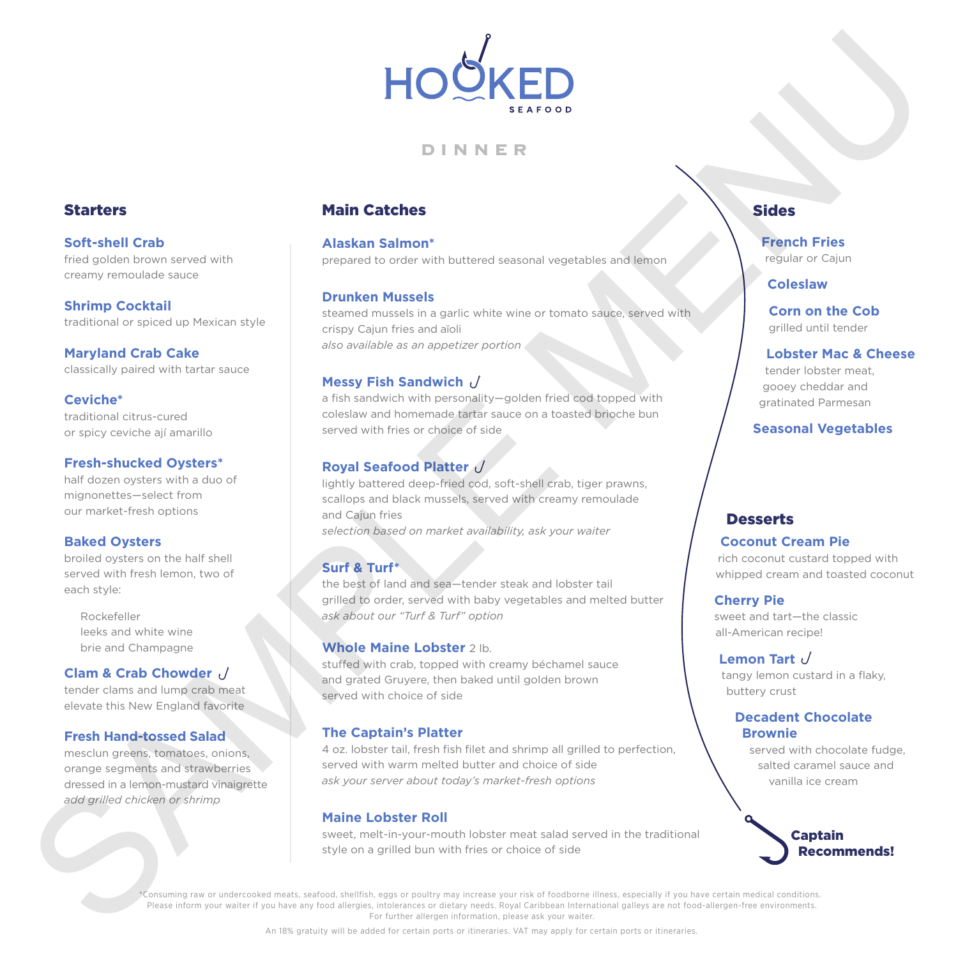

## **DINNER**

## Starters

**Soft-shell Crab** fried golden brown served with creamy remoulade sauce

**Shrimp Cocktail** traditional or spiced up Mexican style

**Maryland Crab Cake**  classically paired with tartar sauce

## **Ceviche\***

traditional citrus-cured or spicy ceviche ají amarillo

#### **Fresh-shucked Oysters\***

half dozen oysters with a duo of mignonettes—select from our market-fresh options

### **Baked Oysters**

broiled oysters on the half shell served with fresh lemon, two of each style:

 Rockefeller leeks and white wine brie and Champagne

### **Clam & Crab Chowder**

tender clams and lump crab meat elevate this New England favorite

#### **Fresh Hand-tossed Salad**

mesclun greens, tomatoes, onions, orange segments and strawberries dressed in a lemon-mustard vinaigrette *add grilled chicken or shrimp*

## Main Catches

**Alaskan Salmon\*** prepared to order with buttered seasonal vegetables and lemon

#### **Drunken Mussels**

steamed mussels in a garlic white wine or tomato sauce, served with crispy Cajun fries and aïoli *also available as an appetizer portion*

### **Messy Fish Sandwich**

a fish sandwich with personality—golden fried cod topped with coleslaw and homemade tartar sauce on a toasted brioche bun served with fries or choice of side

## **Royal Seafood Platter**

lightly battered deep-fried cod, soft-shell crab, tiger prawns, scallops and black mussels, served with creamy remoulade and Cajun fries *selection based on market availability, ask your waiter*

### **Surf & Turf\***

the best of land and sea—tender steak and lobster tail grilled to order, served with baby vegetables and melted butter *ask about our "Turf & Turf" option*

#### **Whole Maine Lobster** 2 lb.

stuffed with crab, topped with creamy béchamel sauce and grated Gruyere, then baked until golden brown served with choice of side

### **The Captain's Platter**

4 oz. lobster tail, fresh fish filet and shrimp all grilled to perfection, served with warm melted butter and choice of side *ask your server about today's market-fresh options*

### **Maine Lobster Roll**

sweet, melt-in-your-mouth lobster meat salad served in the traditional style on a grilled bun with fries or choice of side

## **Sides**

# **French Fries**

regular or Cajun

### **Coleslaw**

**Corn on the Cob**  grilled until tender

#### **Lobster Mac & Cheese**

tender lobster meat, gooey cheddar and gratinated Parmesan

**Seasonal Vegetables** 

## **Desserts**

#### **Coconut Cream Pie**

rich coconut custard topped with whipped cream and toasted coconut

#### **Cherry Pie**

sweet and tart—the classic all-American recipe!

#### **Lemon Tart**

tangy lemon custard in a flaky, buttery crust

### **Decadent Chocolate Brownie**

served with chocolate fudge, salted caramel sauce and vanilla ice cream



\*Consuming raw or undercooked meats, seafood, shellfish, eggs or poultry may increase your risk of foodborne illness, especially if you have certain medical conditions. Please inform your waiter if you have any food allergies, intolerances or dietary needs. Royal Caribbean International galleys are not food-allergen-free environments. For further allergen information, please ask your waiter. Starters<br>
Samments and the starters<br>
Samments and the starters<br>
Samments and the starters<br>
Samments and the starters of the starters of the starters of the starters of the starters<br>
Consequences are not the starters of th